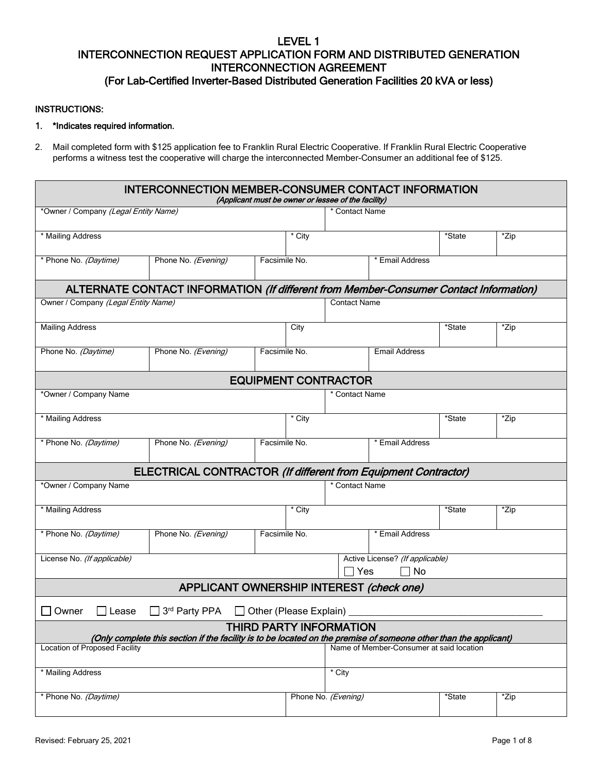# LEVEL 1 INTERCONNECTION REQUEST APPLICATION FORM AND DISTRIBUTED GENERATION INTERCONNECTION AGREEMENT (For Lab-Certified Inverter-Based Distributed Generation Facilities 20 kVA or less)

### INSTRUCTIONS:

### 1. \*Indicates required information.

2. Mail completed form with \$125 application fee to Franklin Rural Electric Cooperative. If Franklin Rural Electric Cooperative performs a witness test the cooperative will charge the interconnected Member-Consumer an additional fee of \$125.

| <b>INTERCONNECTION MEMBER-CONSUMER CONTACT INFORMATION</b><br>(Applicant must be owner or lessee of the facility)                                  |                                                                                       |               |        |                                                |                                          |        |      |  |  |
|----------------------------------------------------------------------------------------------------------------------------------------------------|---------------------------------------------------------------------------------------|---------------|--------|------------------------------------------------|------------------------------------------|--------|------|--|--|
| *Owner / Company (Legal Entity Name)                                                                                                               |                                                                                       |               |        | * Contact Name                                 |                                          |        |      |  |  |
| * Mailing Address                                                                                                                                  |                                                                                       |               | * City |                                                |                                          | *State | *Zip |  |  |
| * Phone No. (Daytime)                                                                                                                              | Phone No. (Evening)                                                                   | Facsimile No. |        |                                                | * Email Address                          |        |      |  |  |
|                                                                                                                                                    | ALTERNATE CONTACT INFORMATION (If different from Member-Consumer Contact Information) |               |        |                                                |                                          |        |      |  |  |
| Owner / Company (Legal Entity Name)                                                                                                                |                                                                                       |               |        | Contact Name                                   |                                          |        |      |  |  |
| <b>Mailing Address</b>                                                                                                                             |                                                                                       |               | City   |                                                |                                          | *State | *Zip |  |  |
| Phone No. (Daytime)                                                                                                                                | Phone No. (Evening)                                                                   | Facsimile No. |        |                                                | <b>Email Address</b>                     |        |      |  |  |
| <b>EQUIPMENT CONTRACTOR</b>                                                                                                                        |                                                                                       |               |        |                                                |                                          |        |      |  |  |
| *Owner / Company Name                                                                                                                              |                                                                                       |               |        | * Contact Name                                 |                                          |        |      |  |  |
| * Mailing Address                                                                                                                                  |                                                                                       |               | * City |                                                |                                          | *State | *Zip |  |  |
| * Phone No. (Daytime)                                                                                                                              | Phone No. (Evening)                                                                   | Facsimile No. |        |                                                | * Email Address                          |        |      |  |  |
|                                                                                                                                                    | ELECTRICAL CONTRACTOR (If different from Equipment Contractor)                        |               |        |                                                |                                          |        |      |  |  |
| *Owner / Company Name                                                                                                                              |                                                                                       |               |        | * Contact Name                                 |                                          |        |      |  |  |
| * Mailing Address                                                                                                                                  |                                                                                       |               | * City |                                                |                                          | *State | *Zip |  |  |
| * Phone No. (Daytime)                                                                                                                              | Phone No. (Evening)                                                                   | Facsimile No. |        |                                                | * Email Address                          |        |      |  |  |
| License No. (If applicable)                                                                                                                        |                                                                                       |               |        | Active License? (If applicable)<br>  No<br>Yes |                                          |        |      |  |  |
| APPLICANT OWNERSHIP INTEREST (check one)                                                                                                           |                                                                                       |               |        |                                                |                                          |        |      |  |  |
| 3rd Party PPA<br>Other (Please Explain)<br>Owner<br>Lease                                                                                          |                                                                                       |               |        |                                                |                                          |        |      |  |  |
| <b>THIRD PARTY INFORMATION</b><br>(Only complete this section if the facility is to be located on the premise of someone other than the applicant) |                                                                                       |               |        |                                                |                                          |        |      |  |  |
| <b>Location of Proposed Facility</b>                                                                                                               |                                                                                       |               |        |                                                | Name of Member-Consumer at said location |        |      |  |  |
| * Mailing Address                                                                                                                                  |                                                                                       |               |        | $*$ City                                       |                                          |        |      |  |  |
| * Phone No. (Daytime)                                                                                                                              |                                                                                       |               |        | Phone No. (Evening)                            |                                          | *State | *Zip |  |  |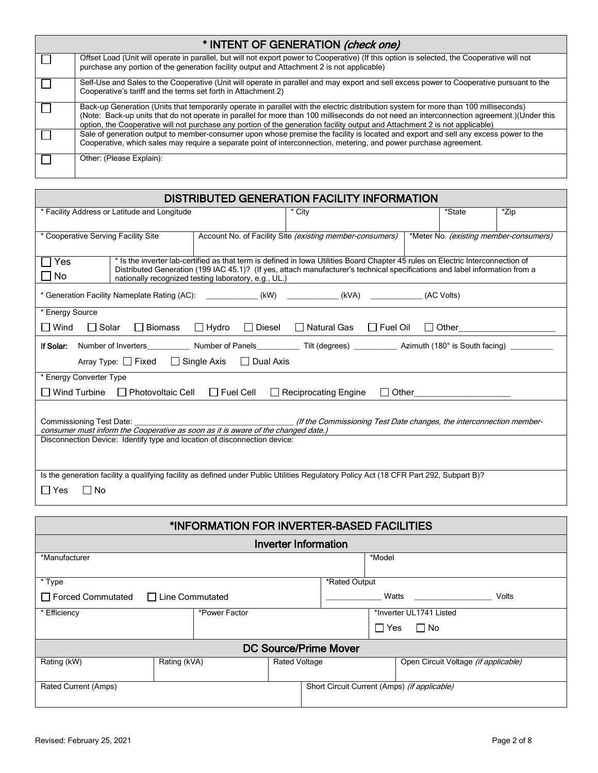| * INTENT OF GENERATION (check one) |                                                                                                                                                                                                                                                                                                                                                                                                                  |  |  |  |
|------------------------------------|------------------------------------------------------------------------------------------------------------------------------------------------------------------------------------------------------------------------------------------------------------------------------------------------------------------------------------------------------------------------------------------------------------------|--|--|--|
|                                    | Offset Load (Unit will operate in parallel, but will not export power to Cooperative) (If this option is selected, the Cooperative will not<br>purchase any portion of the generation facility output and Attachment 2 is not applicable)                                                                                                                                                                        |  |  |  |
|                                    | Self-Use and Sales to the Cooperative (Unit will operate in parallel and may export and sell excess power to Cooperative pursuant to the<br>Cooperative's tariff and the terms set forth in Attachment 2)                                                                                                                                                                                                        |  |  |  |
|                                    | Back-up Generation (Units that temporarily operate in parallel with the electric distribution system for more than 100 milliseconds)<br>(Note: Back-up units that do not operate in parallel for more than 100 milliseconds do not need an interconnection agreement.)(Under this<br>option, the Cooperative will not purchase any portion of the generation facility output and Attachment 2 is not applicable) |  |  |  |
|                                    | Sale of generation output to member-consumer upon whose premise the facility is located and export and sell any excess power to the<br>Cooperative, which sales may require a separate point of interconnection, metering, and power purchase agreement.                                                                                                                                                         |  |  |  |
|                                    | Other: (Please Explain):                                                                                                                                                                                                                                                                                                                                                                                         |  |  |  |

| <b>DISTRIBUTED GENERATION FACILITY INFORMATION</b>                                                                                                                                    |                                                                                                                                                                                                                                                                                                                        |        |  |        |      |  |  |
|---------------------------------------------------------------------------------------------------------------------------------------------------------------------------------------|------------------------------------------------------------------------------------------------------------------------------------------------------------------------------------------------------------------------------------------------------------------------------------------------------------------------|--------|--|--------|------|--|--|
| * Facility Address or Latitude and Longitude                                                                                                                                          |                                                                                                                                                                                                                                                                                                                        | * City |  | *State | *Zip |  |  |
| * Cooperative Serving Facility Site<br>Account No. of Facility Site (existing member-consumers)<br>*Meter No. (existing member-consumers)                                             |                                                                                                                                                                                                                                                                                                                        |        |  |        |      |  |  |
| Yes<br>No                                                                                                                                                                             | * Is the inverter lab-certified as that term is defined in Iowa Utilities Board Chapter 45 rules on Electric Interconnection of<br>Distributed Generation (199 IAC 45.1)? (If yes, attach manufacturer's technical specifications and label information from a<br>nationally recognized testing laboratory, e.g., UL.) |        |  |        |      |  |  |
| * Generation Facility Nameplate Rating (AC): (KW) (KVA) (KVA) (AC Volts)                                                                                                              |                                                                                                                                                                                                                                                                                                                        |        |  |        |      |  |  |
| * Energy Source<br>□ Biomass □ Hydro<br>$\Box$ Diesel $\Box$ Natural Gas $\Box$ Fuel Oil<br>$\Box$ Wind<br>$\Box$ Solar<br>□ Other_________________________                           |                                                                                                                                                                                                                                                                                                                        |        |  |        |      |  |  |
| If Solar:<br>Array Type: □ Fixed □ Single Axis □ Dual Axis                                                                                                                            |                                                                                                                                                                                                                                                                                                                        |        |  |        |      |  |  |
| * Energy Converter Type<br>Wind Turbine<br>$\Box$ Photovoltaic Cell $\Box$ Fuel Cell<br>$\Box$ Reciprocating Engine<br>$\Box$ Other                                                   |                                                                                                                                                                                                                                                                                                                        |        |  |        |      |  |  |
| Commissioning Test Date:<br>(If the Commissioning Test Date changes, the interconnection member-<br>consumer must inform the Cooperative as soon as it is aware of the changed date.) |                                                                                                                                                                                                                                                                                                                        |        |  |        |      |  |  |
| Disconnection Device: Identify type and location of disconnection device:                                                                                                             |                                                                                                                                                                                                                                                                                                                        |        |  |        |      |  |  |
| Is the generation facility a qualifying facility as defined under Public Utilities Regulatory Policy Act (18 CFR Part 292, Subpart B)?<br>No<br>l l Yes<br>$\mathbf{I}$               |                                                                                                                                                                                                                                                                                                                        |        |  |        |      |  |  |

| *INFORMATION FOR INVERTER-BASED FACILITIES |                        |                      |  |                                              |                                      |  |  |
|--------------------------------------------|------------------------|----------------------|--|----------------------------------------------|--------------------------------------|--|--|
| <b>Inverter Information</b>                |                        |                      |  |                                              |                                      |  |  |
| *Manufacturer                              |                        |                      |  | *Model                                       |                                      |  |  |
| *Rated Output<br>* Type                    |                        |                      |  |                                              |                                      |  |  |
| Forced Commutated                          | $\Box$ Line Commutated |                      |  | Volts<br>Watts                               |                                      |  |  |
| * Efficiency                               | *Power Factor          |                      |  | *Inverter UL1741 Listed                      |                                      |  |  |
|                                            |                        |                      |  | $\Box$ Yes<br>$\Box$ No                      |                                      |  |  |
| <b>DC Source/Prime Mover</b>               |                        |                      |  |                                              |                                      |  |  |
| Rating (kW)                                | Rating (kVA)           | <b>Rated Voltage</b> |  |                                              | Open Circuit Voltage (if applicable) |  |  |
| <b>Rated Current (Amps)</b>                |                        |                      |  | Short Circuit Current (Amps) (if applicable) |                                      |  |  |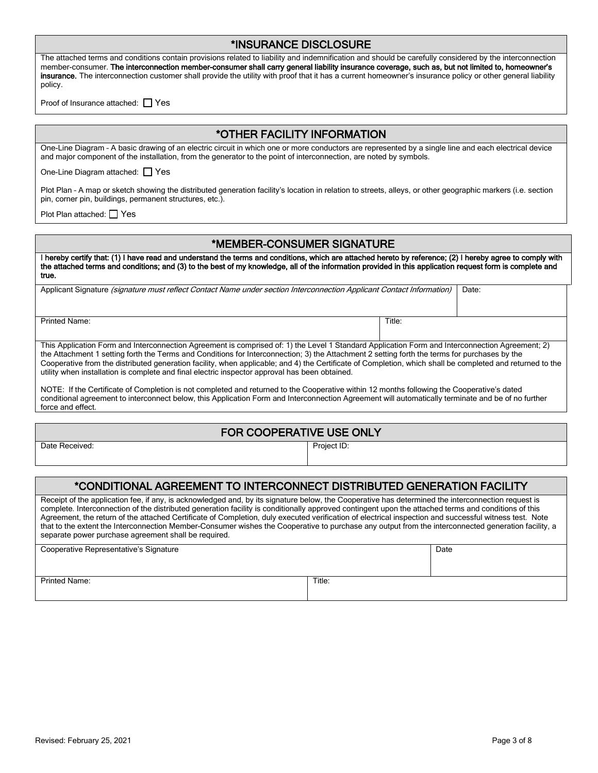| *INSURANCE DISCLOSURE |  |
|-----------------------|--|
|-----------------------|--|

The attached terms and conditions contain provisions related to liability and indemnification and should be carefully considered by the interconnection member-consumer. The interconnection member-consumer shall carry general liability insurance coverage, such as, but not limited to, homeowner's insurance. The interconnection customer shall provide the utility with proof that it has a current homeowner's insurance policy or other general liability policy.

Proof of Insurance attached: □ Yes

# \*OTHER FACILITY INFORMATION

One-Line Diagram – A basic drawing of an electric circuit in which one or more conductors are represented by a single line and each electrical device and major component of the installation, from the generator to the point of interconnection, are noted by symbols.

One-Line Diagram attached: Ves

Plot Plan – A map or sketch showing the distributed generation facility's location in relation to streets, alleys, or other geographic markers (i.e. section pin, corner pin, buildings, permanent structures, etc.).

Plot Plan attached: □ Yes

# \*MEMBER-CONSUMER SIGNATURE

I hereby certify that: (1) I have read and understand the terms and conditions, which are attached hereto by reference; (2) I hereby agree to comply with the attached terms and conditions; and (3) to the best of my knowledge, all of the information provided in this application request form is complete and true.

Applicant Signature (signature must reflect Contact Name under section Interconnection Applicant Contact Information) | Date:

Printed Name: Title: The Second Second Second Second Second Second Second Second Second Second Second Second Second Second Second Second Second Second Second Second Second Second Second Second Second Second Second Second S

This Application Form and Interconnection Agreement is comprised of: 1) the Level 1 Standard Application Form and Interconnection Agreement; 2) the Attachment 1 setting forth the Terms and Conditions for Interconnection; 3) the Attachment 2 setting forth the terms for purchases by the Cooperative from the distributed generation facility, when applicable; and 4) the Certificate of Completion, which shall be completed and returned to the utility when installation is complete and final electric inspector approval has been obtained.

NOTE: If the Certificate of Completion is not completed and returned to the Cooperative within 12 months following the Cooperative's dated conditional agreement to interconnect below, this Application Form and Interconnection Agreement will automatically terminate and be of no further force and effect.

# FOR COOPERATIVE USE ONLY

Date Received: Project ID:

# \*CONDITIONAL AGREEMENT TO INTERCONNECT DISTRIBUTED GENERATION FACILITY

Receipt of the application fee, if any, is acknowledged and, by its signature below, the Cooperative has determined the interconnection request is complete. Interconnection of the distributed generation facility is conditionally approved contingent upon the attached terms and conditions of this Agreement, the return of the attached Certificate of Completion, duly executed verification of electrical inspection and successful witness test. Note that to the extent the Interconnection Member-Consumer wishes the Cooperative to purchase any output from the interconnected generation facility, a separate power purchase agreement shall be required.

| Cooperative Representative's Signature |        | Date |
|----------------------------------------|--------|------|
|                                        |        |      |
| Printed Name:                          | Title: |      |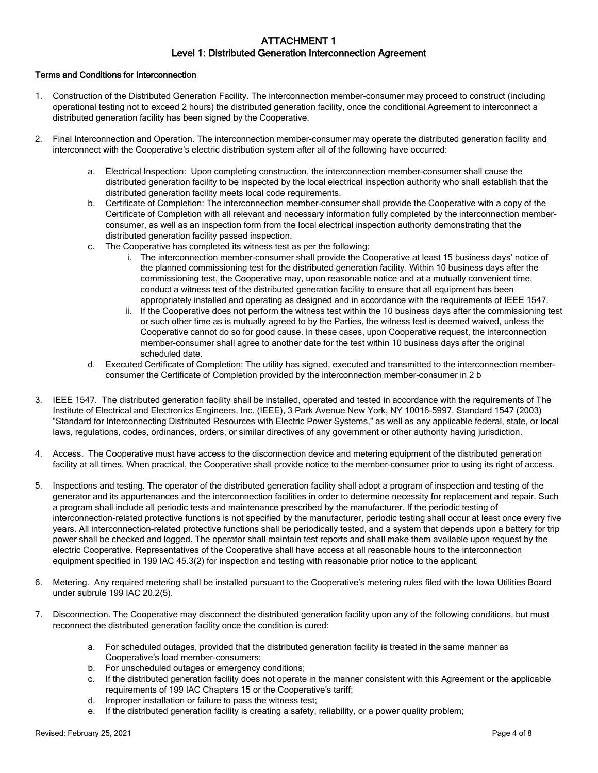## ATTACHMENT 1 Level 1: Distributed Generation Interconnection Agreement

### Terms and Conditions for Interconnection

- 1. Construction of the Distributed Generation Facility. The interconnection member-consumer may proceed to construct (including operational testing not to exceed 2 hours) the distributed generation facility, once the conditional Agreement to interconnect a distributed generation facility has been signed by the Cooperative.
- 2. Final Interconnection and Operation. The interconnection member-consumer may operate the distributed generation facility and interconnect with the Cooperative's electric distribution system after all of the following have occurred:
	- a. Electrical Inspection: Upon completing construction, the interconnection member-consumer shall cause the distributed generation facility to be inspected by the local electrical inspection authority who shall establish that the distributed generation facility meets local code requirements.
	- b. Certificate of Completion: The interconnection member-consumer shall provide the Cooperative with a copy of the Certificate of Completion with all relevant and necessary information fully completed by the interconnection memberconsumer, as well as an inspection form from the local electrical inspection authority demonstrating that the distributed generation facility passed inspection.
	- c. The Cooperative has completed its witness test as per the following:
		- i. The interconnection member-consumer shall provide the Cooperative at least 15 business days' notice of the planned commissioning test for the distributed generation facility. Within 10 business days after the commissioning test, the Cooperative may, upon reasonable notice and at a mutually convenient time, conduct a witness test of the distributed generation facility to ensure that all equipment has been appropriately installed and operating as designed and in accordance with the requirements of IEEE 1547.
		- ii. If the Cooperative does not perform the witness test within the 10 business days after the commissioning test or such other time as is mutually agreed to by the Parties, the witness test is deemed waived, unless the Cooperative cannot do so for good cause. In these cases, upon Cooperative request, the interconnection member-consumer shall agree to another date for the test within 10 business days after the original scheduled date.
	- d. Executed Certificate of Completion: The utility has signed, executed and transmitted to the interconnection memberconsumer the Certificate of Completion provided by the interconnection member-consumer in 2 b
- 3. IEEE 1547. The distributed generation facility shall be installed, operated and tested in accordance with the requirements of The Institute of Electrical and Electronics Engineers, Inc. (IEEE), 3 Park Avenue New York, NY 10016-5997, Standard 1547 (2003) "Standard for Interconnecting Distributed Resources with Electric Power Systems," as well as any applicable federal, state, or local laws, regulations, codes, ordinances, orders, or similar directives of any government or other authority having jurisdiction.
- 4. Access. The Cooperative must have access to the disconnection device and metering equipment of the distributed generation facility at all times. When practical, the Cooperative shall provide notice to the member-consumer prior to using its right of access.
- 5. Inspections and testing. The operator of the distributed generation facility shall adopt a program of inspection and testing of the generator and its appurtenances and the interconnection facilities in order to determine necessity for replacement and repair. Such a program shall include all periodic tests and maintenance prescribed by the manufacturer. If the periodic testing of interconnection-related protective functions is not specified by the manufacturer, periodic testing shall occur at least once every five years. All interconnection-related protective functions shall be periodically tested, and a system that depends upon a battery for trip power shall be checked and logged. The operator shall maintain test reports and shall make them available upon request by the electric Cooperative. Representatives of the Cooperative shall have access at all reasonable hours to the interconnection equipment specified in 199 IAC 45.3(2) for inspection and testing with reasonable prior notice to the applicant.
- 6. Metering. Any required metering shall be installed pursuant to the Cooperative's metering rules filed with the Iowa Utilities Board under subrule 199 IAC 20.2(5).
- 7. Disconnection. The Cooperative may disconnect the distributed generation facility upon any of the following conditions, but must reconnect the distributed generation facility once the condition is cured:
	- a. For scheduled outages, provided that the distributed generation facility is treated in the same manner as Cooperative's load member-consumers;
	- b. For unscheduled outages or emergency conditions;
	- c. If the distributed generation facility does not operate in the manner consistent with this Agreement or the applicable requirements of 199 IAC Chapters 15 or the Cooperative's tariff;
	- d. Improper installation or failure to pass the witness test;
	- e. If the distributed generation facility is creating a safety, reliability, or a power quality problem;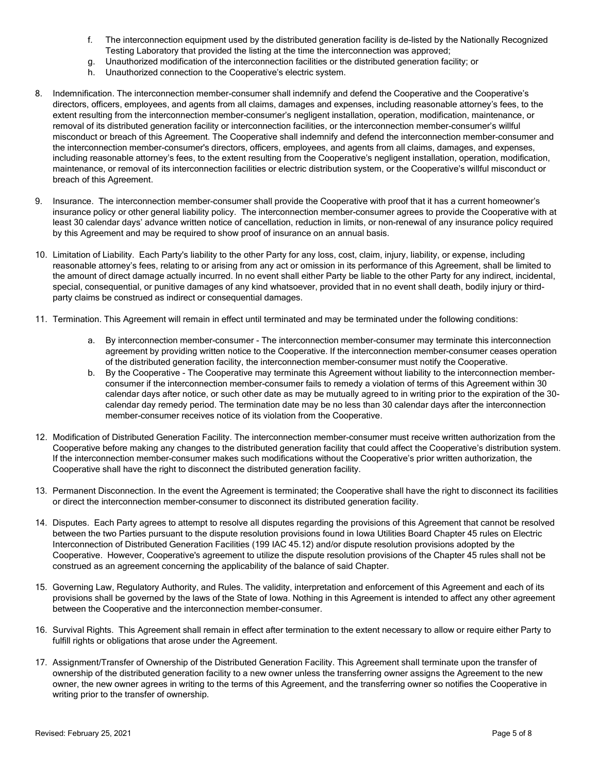- f. The interconnection equipment used by the distributed generation facility is de-listed by the Nationally Recognized Testing Laboratory that provided the listing at the time the interconnection was approved;
- g. Unauthorized modification of the interconnection facilities or the distributed generation facility; or
- h. Unauthorized connection to the Cooperative's electric system.
- 8. Indemnification. The interconnection member-consumer shall indemnify and defend the Cooperative and the Cooperative's directors, officers, employees, and agents from all claims, damages and expenses, including reasonable attorney's fees, to the extent resulting from the interconnection member-consumer's negligent installation, operation, modification, maintenance, or removal of its distributed generation facility or interconnection facilities, or the interconnection member-consumer's willful misconduct or breach of this Agreement. The Cooperative shall indemnify and defend the interconnection member-consumer and the interconnection member-consumer's directors, officers, employees, and agents from all claims, damages, and expenses, including reasonable attorney's fees, to the extent resulting from the Cooperative's negligent installation, operation, modification, maintenance, or removal of its interconnection facilities or electric distribution system, or the Cooperative's willful misconduct or breach of this Agreement.
- 9. Insurance. The interconnection member-consumer shall provide the Cooperative with proof that it has a current homeowner's insurance policy or other general liability policy. The interconnection member-consumer agrees to provide the Cooperative with at least 30 calendar days' advance written notice of cancellation, reduction in limits, or non-renewal of any insurance policy required by this Agreement and may be required to show proof of insurance on an annual basis.
- 10. Limitation of Liability. Each Party's liability to the other Party for any loss, cost, claim, injury, liability, or expense, including reasonable attorney's fees, relating to or arising from any act or omission in its performance of this Agreement, shall be limited to the amount of direct damage actually incurred. In no event shall either Party be liable to the other Party for any indirect, incidental, special, consequential, or punitive damages of any kind whatsoever, provided that in no event shall death, bodily injury or thirdparty claims be construed as indirect or consequential damages.
- 11. Termination. This Agreement will remain in effect until terminated and may be terminated under the following conditions:
	- a. By interconnection member-consumer The interconnection member-consumer may terminate this interconnection agreement by providing written notice to the Cooperative. If the interconnection member-consumer ceases operation of the distributed generation facility, the interconnection member-consumer must notify the Cooperative.
	- b. By the Cooperative The Cooperative may terminate this Agreement without liability to the interconnection memberconsumer if the interconnection member-consumer fails to remedy a violation of terms of this Agreement within 30 calendar days after notice, or such other date as may be mutually agreed to in writing prior to the expiration of the 30 calendar day remedy period. The termination date may be no less than 30 calendar days after the interconnection member-consumer receives notice of its violation from the Cooperative.
- 12. Modification of Distributed Generation Facility. The interconnection member-consumer must receive written authorization from the Cooperative before making any changes to the distributed generation facility that could affect the Cooperative's distribution system. If the interconnection member-consumer makes such modifications without the Cooperative's prior written authorization, the Cooperative shall have the right to disconnect the distributed generation facility.
- 13. Permanent Disconnection. In the event the Agreement is terminated; the Cooperative shall have the right to disconnect its facilities or direct the interconnection member-consumer to disconnect its distributed generation facility.
- 14. Disputes. Each Party agrees to attempt to resolve all disputes regarding the provisions of this Agreement that cannot be resolved between the two Parties pursuant to the dispute resolution provisions found in Iowa Utilities Board Chapter 45 rules on Electric Interconnection of Distributed Generation Facilities (199 IAC 45.12) and/or dispute resolution provisions adopted by the Cooperative. However, Cooperative's agreement to utilize the dispute resolution provisions of the Chapter 45 rules shall not be construed as an agreement concerning the applicability of the balance of said Chapter.
- 15. Governing Law, Regulatory Authority, and Rules. The validity, interpretation and enforcement of this Agreement and each of its provisions shall be governed by the laws of the State of Iowa. Nothing in this Agreement is intended to affect any other agreement between the Cooperative and the interconnection member-consumer.
- 16. Survival Rights. This Agreement shall remain in effect after termination to the extent necessary to allow or require either Party to fulfill rights or obligations that arose under the Agreement.
- 17. Assignment/Transfer of Ownership of the Distributed Generation Facility. This Agreement shall terminate upon the transfer of ownership of the distributed generation facility to a new owner unless the transferring owner assigns the Agreement to the new owner, the new owner agrees in writing to the terms of this Agreement, and the transferring owner so notifies the Cooperative in writing prior to the transfer of ownership.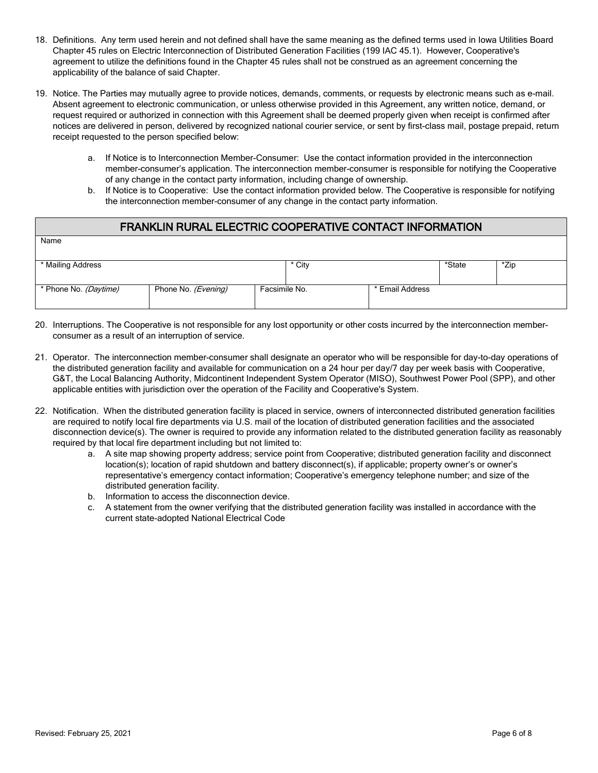- 18. Definitions. Any term used herein and not defined shall have the same meaning as the defined terms used in Iowa Utilities Board Chapter 45 rules on Electric Interconnection of Distributed Generation Facilities (199 IAC 45.1). However, Cooperative's agreement to utilize the definitions found in the Chapter 45 rules shall not be construed as an agreement concerning the applicability of the balance of said Chapter.
- 19. Notice. The Parties may mutually agree to provide notices, demands, comments, or requests by electronic means such as e-mail. Absent agreement to electronic communication, or unless otherwise provided in this Agreement, any written notice, demand, or request required or authorized in connection with this Agreement shall be deemed properly given when receipt is confirmed after notices are delivered in person, delivered by recognized national courier service, or sent by first-class mail, postage prepaid, return receipt requested to the person specified below:
	- a. If Notice is to Interconnection Member-Consumer: Use the contact information provided in the interconnection member-consumer's application. The interconnection member-consumer is responsible for notifying the Cooperative of any change in the contact party information, including change of ownership.
	- b. If Notice is to Cooperative: Use the contact information provided below. The Cooperative is responsible for notifying the interconnection member-consumer of any change in the contact party information.

# FRANKLIN RURAL ELECTRIC COOPERATIVE CONTACT INFORMATION

| * Mailing Address     |                     |               | * City |                 | *State | *Zip |
|-----------------------|---------------------|---------------|--------|-----------------|--------|------|
|                       |                     |               |        |                 |        |      |
| * Phone No. (Daytime) | Phone No. (Evening) | Facsimile No. |        | * Email Address |        |      |
|                       |                     |               |        |                 |        |      |

- 20. Interruptions. The Cooperative is not responsible for any lost opportunity or other costs incurred by the interconnection memberconsumer as a result of an interruption of service.
- 21. Operator. The interconnection member-consumer shall designate an operator who will be responsible for day-to-day operations of the distributed generation facility and available for communication on a 24 hour per day/7 day per week basis with Cooperative, G&T, the Local Balancing Authority, Midcontinent Independent System Operator (MISO), Southwest Power Pool (SPP), and other applicable entities with jurisdiction over the operation of the Facility and Cooperative's System.
- 22. Notification. When the distributed generation facility is placed in service, owners of interconnected distributed generation facilities are required to notify local fire departments via U.S. mail of the location of distributed generation facilities and the associated disconnection device(s). The owner is required to provide any information related to the distributed generation facility as reasonably required by that local fire department including but not limited to:
	- a. A site map showing property address; service point from Cooperative; distributed generation facility and disconnect location(s); location of rapid shutdown and battery disconnect(s), if applicable; property owner's or owner's representative's emergency contact information; Cooperative's emergency telephone number; and size of the distributed generation facility.
	- b. Information to access the disconnection device.
	- c. A statement from the owner verifying that the distributed generation facility was installed in accordance with the current state-adopted National Electrical Code

Name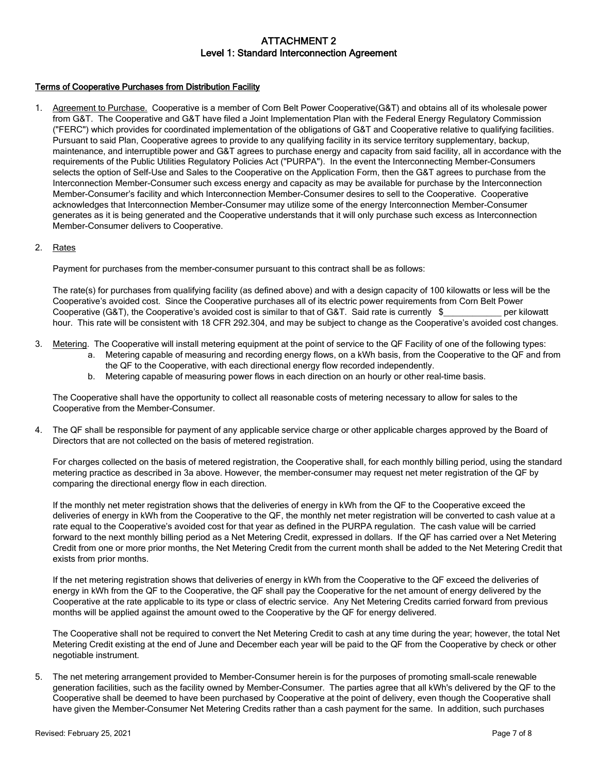# ATTACHMENT 2 Level 1: Standard Interconnection Agreement

### Terms of Cooperative Purchases from Distribution Facility

1. Agreement to Purchase. Cooperative is a member of Corn Belt Power Cooperative(G&T) and obtains all of its wholesale power from G&T. The Cooperative and G&T have filed a Joint Implementation Plan with the Federal Energy Regulatory Commission ("FERC") which provides for coordinated implementation of the obligations of G&T and Cooperative relative to qualifying facilities. Pursuant to said Plan, Cooperative agrees to provide to any qualifying facility in its service territory supplementary, backup, maintenance, and interruptible power and G&T agrees to purchase energy and capacity from said facility, all in accordance with the requirements of the Public Utilities Regulatory Policies Act ("PURPA"). In the event the Interconnecting Member-Consumers selects the option of Self-Use and Sales to the Cooperative on the Application Form, then the G&T agrees to purchase from the Interconnection Member-Consumer such excess energy and capacity as may be available for purchase by the Interconnection Member-Consumer's facility and which Interconnection Member-Consumer desires to sell to the Cooperative. Cooperative acknowledges that Interconnection Member-Consumer may utilize some of the energy Interconnection Member-Consumer generates as it is being generated and the Cooperative understands that it will only purchase such excess as Interconnection Member-Consumer delivers to Cooperative.

#### 2. Rates

Payment for purchases from the member-consumer pursuant to this contract shall be as follows:

The rate(s) for purchases from qualifying facility (as defined above) and with a design capacity of 100 kilowatts or less will be the Cooperative's avoided cost. Since the Cooperative purchases all of its electric power requirements from Corn Belt Power<br>Cooperative (G&T), the Cooperative's avoided cost is similar to that of G&T. Said rate is currently \$ Cooperative (G&T), the Cooperative's avoided cost is similar to that of G&T. Said rate is currently \$ hour. This rate will be consistent with 18 CFR 292.304, and may be subject to change as the Cooperative's avoided cost changes.

- 3. Metering. The Cooperative will install metering equipment at the point of service to the QF Facility of one of the following types:
	- a. Metering capable of measuring and recording energy flows, on a kWh basis, from the Cooperative to the QF and from the QF to the Cooperative, with each directional energy flow recorded independently.
	- b. Metering capable of measuring power flows in each direction on an hourly or other real-time basis.

The Cooperative shall have the opportunity to collect all reasonable costs of metering necessary to allow for sales to the Cooperative from the Member-Consumer.

4. The QF shall be responsible for payment of any applicable service charge or other applicable charges approved by the Board of Directors that are not collected on the basis of metered registration.

For charges collected on the basis of metered registration, the Cooperative shall, for each monthly billing period, using the standard metering practice as described in 3a above. However, the member-consumer may request net meter registration of the QF by comparing the directional energy flow in each direction.

If the monthly net meter registration shows that the deliveries of energy in kWh from the QF to the Cooperative exceed the deliveries of energy in kWh from the Cooperative to the QF, the monthly net meter registration will be converted to cash value at a rate equal to the Cooperative's avoided cost for that year as defined in the PURPA regulation. The cash value will be carried forward to the next monthly billing period as a Net Metering Credit, expressed in dollars. If the QF has carried over a Net Metering Credit from one or more prior months, the Net Metering Credit from the current month shall be added to the Net Metering Credit that exists from prior months.

If the net metering registration shows that deliveries of energy in kWh from the Cooperative to the QF exceed the deliveries of energy in kWh from the QF to the Cooperative, the QF shall pay the Cooperative for the net amount of energy delivered by the Cooperative at the rate applicable to its type or class of electric service. Any Net Metering Credits carried forward from previous months will be applied against the amount owed to the Cooperative by the QF for energy delivered.

The Cooperative shall not be required to convert the Net Metering Credit to cash at any time during the year; however, the total Net Metering Credit existing at the end of June and December each year will be paid to the QF from the Cooperative by check or other negotiable instrument.

5. The net metering arrangement provided to Member-Consumer herein is for the purposes of promoting small-scale renewable generation facilities, such as the facility owned by Member-Consumer. The parties agree that all kWh's delivered by the QF to the Cooperative shall be deemed to have been purchased by Cooperative at the point of delivery, even though the Cooperative shall have given the Member-Consumer Net Metering Credits rather than a cash payment for the same. In addition, such purchases